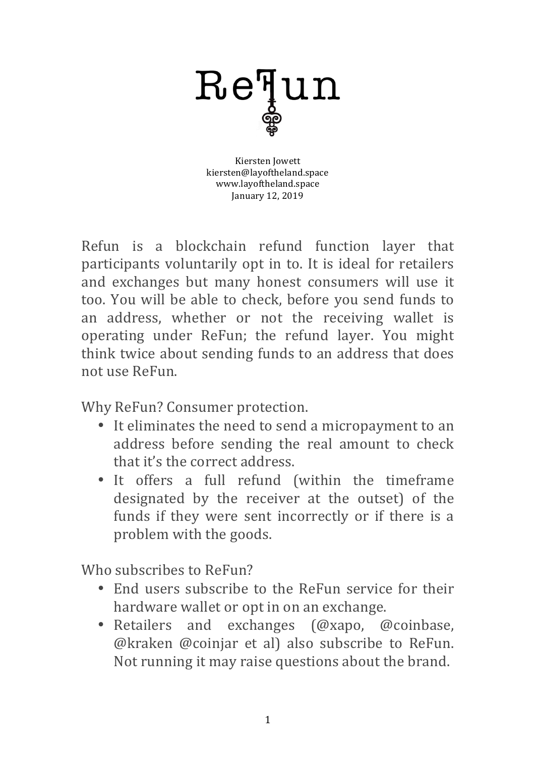

Kiersten Jowett kiersten@layoftheland.space www.layoftheland.space January 12, 2019

Refun is a blockchain refund function layer that participants voluntarily opt in to. It is ideal for retailers and exchanges but many honest consumers will use it too. You will be able to check, before you send funds to an address, whether or not the receiving wallet is operating under ReFun; the refund layer. You might think twice about sending funds to an address that does not use ReFun.

Why ReFun? Consumer protection.

- It eliminates the need to send a micropayment to an address before sending the real amount to check that it's the correct address.
- It offers a full refund (within the timeframe designated by the receiver at the outset) of the funds if they were sent incorrectly or if there is a problem with the goods.

Who subscribes to ReFun?

- End users subscribe to the ReFun service for their hardware wallet or opt in on an exchange.
- Retailers and exchanges (@xapo, @coinbase, @kraken @coinjar et al) also subscribe to ReFun. Not running it may raise questions about the brand.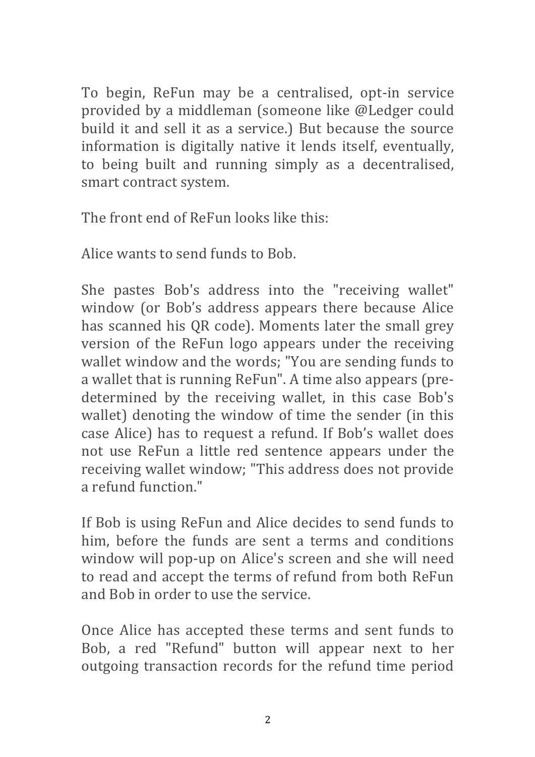To begin, ReFun may be a centralised, opt-in service provided by a middleman (someone like @Ledger could build it and sell it as a service.) But because the source information is digitally native it lends itself, eventually, to being built and running simply as a decentralised, smart contract system.

The front end of ReFun looks like this:

Alice wants to send funds to Bob.

She pastes Bob's address into the "receiving wallet" window (or Bob's address appears there because Alice has scanned his QR code). Moments later the small grey version of the ReFun logo appears under the receiving wallet window and the words; "You are sending funds to a wallet that is running ReFun". A time also appears (predetermined by the receiving wallet, in this case Bob's wallet) denoting the window of time the sender (in this case Alice) has to request a refund. If Bob's wallet does not use ReFun a little red sentence appears under the receiving wallet window; "This address does not provide a refund function."

If Bob is using ReFun and Alice decides to send funds to him, before the funds are sent a terms and conditions window will pop-up on Alice's screen and she will need to read and accept the terms of refund from both ReFun and Bob in order to use the service.

Once Alice has accepted these terms and sent funds to Bob, a red "Refund" button will appear next to her outgoing transaction records for the refund time period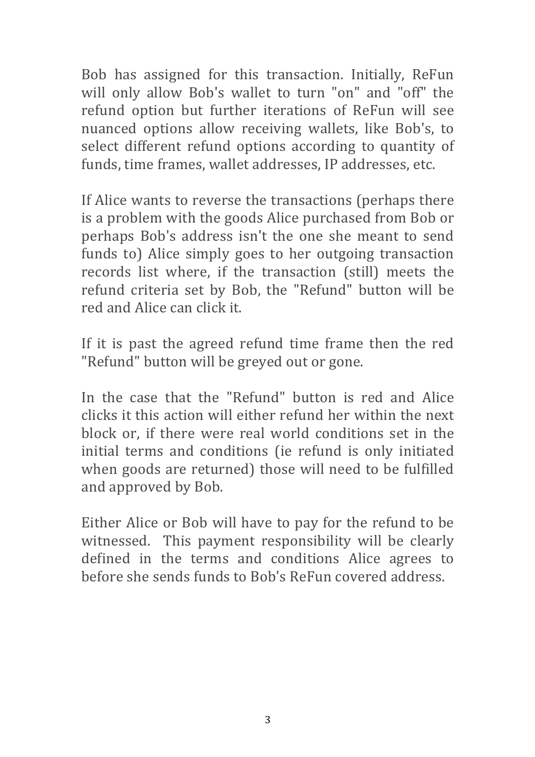Bob has assigned for this transaction. Initially, ReFun will only allow Bob's wallet to turn "on" and "off" the refund option but further iterations of ReFun will see nuanced options allow receiving wallets, like Bob's, to select different refund options according to quantity of funds, time frames, wallet addresses, IP addresses, etc.

If Alice wants to reverse the transactions (perhaps there is a problem with the goods Alice purchased from Bob or perhaps Bob's address isn't the one she meant to send funds to) Alice simply goes to her outgoing transaction records list where, if the transaction (still) meets the refund criteria set by Bob, the "Refund" button will be red and Alice can click it.

If it is past the agreed refund time frame then the red "Refund" button will be greyed out or gone.

In the case that the "Refund" button is red and Alice clicks it this action will either refund her within the next block or, if there were real world conditions set in the initial terms and conditions (ie refund is only initiated when goods are returned) those will need to be fulfilled and approved by Bob.

Either Alice or Bob will have to pay for the refund to be witnessed. This payment responsibility will be clearly defined in the terms and conditions Alice agrees to before she sends funds to Bob's ReFun covered address.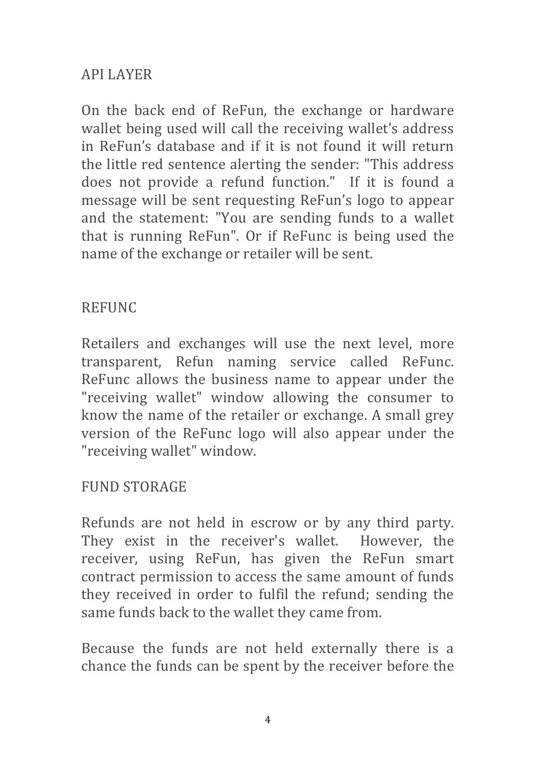## API LAYER

On the back end of ReFun, the exchange or hardware wallet being used will call the receiving wallet's address in ReFun's database and if it is not found it will return the little red sentence alerting the sender: "This address does not provide a refund function." If it is found a message will be sent requesting ReFun's logo to appear and the statement: "You are sending funds to a wallet that is running ReFun". Or if ReFunc is being used the name of the exchange or retailer will be sent.

## REFUNC

Retailers and exchanges will use the next level, more transparent, Refun naming service called ReFunc. ReFunc allows the business name to appear under the "receiving wallet" window allowing the consumer to know the name of the retailer or exchange. A small grey version of the ReFunc logo will also appear under the "receiving wallet" window.

## FUND STORAGE

Refunds are not held in escrow or by any third party. They exist in the receiver's wallet. However, the receiver, using ReFun, has given the ReFun smart contract permission to access the same amount of funds they received in order to fulfil the refund; sending the same funds back to the wallet they came from.

Because the funds are not held externally there is a chance the funds can be spent by the receiver before the